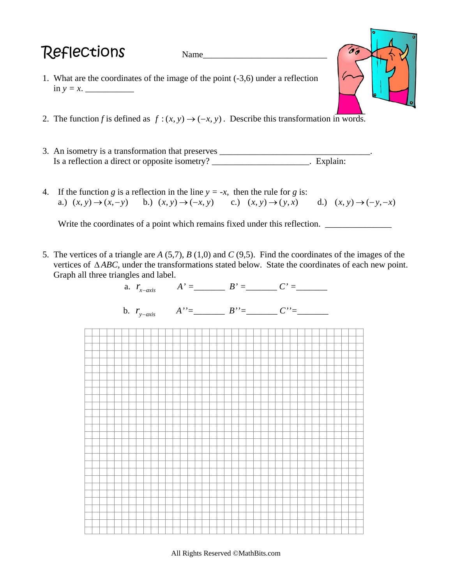## $\mathsf{Reflections}$   $\blacksquare$   $\blacksquare$   $\blacksquare$

- 1. What are the coordinates of the image of the point (-3,6) under a reflection in *y = x*. \_\_\_\_\_\_\_\_\_\_\_
- 2. The function *f* is defined as  $f:(x, y) \rightarrow (-x, y)$ . Describe this transformation in words.
- 3. An isometry is a transformation that preserves \_\_\_\_\_\_\_\_\_\_\_\_\_\_\_\_\_\_\_\_\_\_\_\_\_\_\_\_\_\_\_ Is a reflection a direct or opposite isometry? \_\_\_\_\_\_\_\_\_\_\_\_\_\_\_\_\_\_\_\_\_\_. Explain:
- 4. If the function *g* is a reflection in the line  $y = -x$ , then the rule for *g* is: a.)  $(x, y) \rightarrow (x, -y)$  b.)  $(x, y) \rightarrow (-x, y)$  c.)  $(x, y) \rightarrow (y, x)$  d.)  $(x, y) \rightarrow (-y, -x)$

Write the coordinates of a point which remains fixed under this reflection. \_\_\_\_\_\_\_\_\_\_\_

5. The vertices of a triangle are *A* (5,7), *B* (1,0) and *C* (9,5). Find the coordinates of the images of the vertices of Δ*ABC*, under the transformations stated below. State the coordinates of each new point. Graph all three triangles and label.